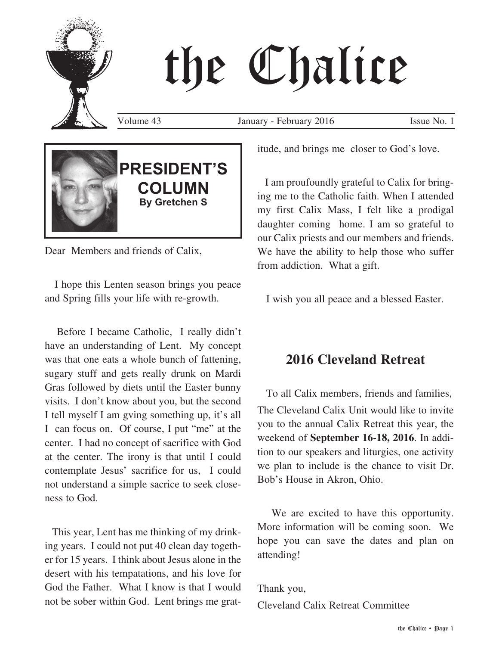# the Chalice

Volume 43 January - February 2016 Issue No. 1



Dear Members and friends of Calix,

 I hope this Lenten season brings you peace and Spring fills your life with re-growth.

 Before I became Catholic, I really didn't have an understanding of Lent. My concept was that one eats a whole bunch of fattening, sugary stuff and gets really drunk on Mardi Gras followed by diets until the Easter bunny visits. I don't know about you, but the second I tell myself I am gving something up, it's all I can focus on. Of course, I put "me" at the center. I had no concept of sacrifice with God at the center. The irony is that until I could contemplate Jesus' sacrifice for us, I could not understand a simple sacrice to seek closeness to God.

 This year, Lent has me thinking of my drinking years. I could not put 40 clean day together for 15 years. I think about Jesus alone in the desert with his tempatations, and his love for God the Father. What I know is that I would not be sober within God. Lent brings me gratitude, and brings me closer to God's love.

 I am proufoundly grateful to Calix for bringing me to the Catholic faith. When I attended my first Calix Mass, I felt like a prodigal daughter coming home. I am so grateful to our Calix priests and our members and friends. We have the ability to help those who suffer from addiction. What a gift.

I wish you all peace and a blessed Easter.

# **2016 Cleveland Retreat**

 To all Calix members, friends and families, The Cleveland Calix Unit would like to invite you to the annual Calix Retreat this year, the weekend of **September 16-18, 2016**. In addition to our speakers and liturgies, one activity we plan to include is the chance to visit Dr. Bob's House in Akron, Ohio.

 We are excited to have this opportunity. More information will be coming soon. We hope you can save the dates and plan on attending!

Thank you,

Cleveland Calix Retreat Committee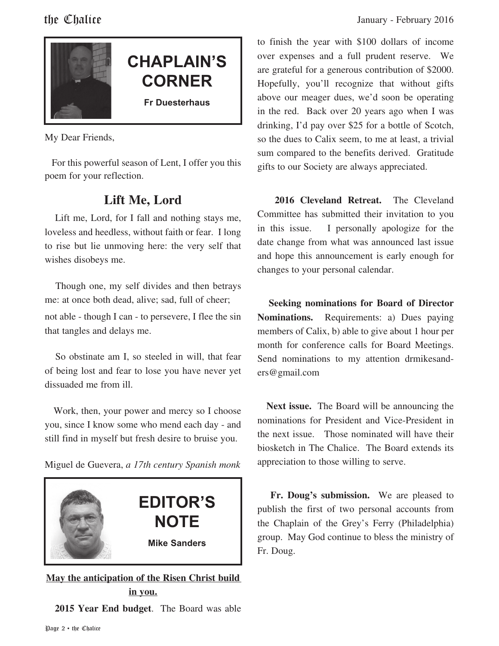

# **CHAPLAIN'S CORNER**

**Fr Duesterhaus**

My Dear Friends,

 For this powerful season of Lent, I offer you this poem for your reflection.

# **Lift Me, Lord**

 Lift me, Lord, for I fall and nothing stays me, loveless and heedless, without faith or fear. I long to rise but lie unmoving here: the very self that wishes disobeys me.

 Though one, my self divides and then betrays me: at once both dead, alive; sad, full of cheer; not able - though I can - to persevere, I flee the sin that tangles and delays me.

 So obstinate am I, so steeled in will, that fear of being lost and fear to lose you have never yet dissuaded me from ill.

 Work, then, your power and mercy so I choose you, since I know some who mend each day - and still find in myself but fresh desire to bruise you.

Miguel de Guevera, *a 17th century Spanish monk*



# **May the anticipation of the Risen Christ build in you. 2015 Year End budget**. The Board was able

to finish the year with \$100 dollars of income over expenses and a full prudent reserve. We are grateful for a generous contribution of \$2000. Hopefully, you'll recognize that without gifts above our meager dues, we'd soon be operating in the red. Back over 20 years ago when I was drinking, I'd pay over \$25 for a bottle of Scotch, so the dues to Calix seem, to me at least, a trivial sum compared to the benefits derived. Gratitude gifts to our Society are always appreciated.

 **2016 Cleveland Retreat.** The Cleveland Committee has submitted their invitation to you in this issue. I personally apologize for the date change from what was announced last issue and hope this announcement is early enough for changes to your personal calendar.

 **Seeking nominations for Board of Director Nominations.** Requirements: a) Dues paying members of Calix, b) able to give about 1 hour per month for conference calls for Board Meetings. Send nominations to my attention drmikesanders@gmail.com

 **Next issue.** The Board will be announcing the nominations for President and Vice-President in the next issue. Those nominated will have their biosketch in The Chalice. The Board extends its appreciation to those willing to serve.

 **Fr. Doug's submission.** We are pleased to publish the first of two personal accounts from the Chaplain of the Grey's Ferry (Philadelphia) group. May God continue to bless the ministry of Fr. Doug.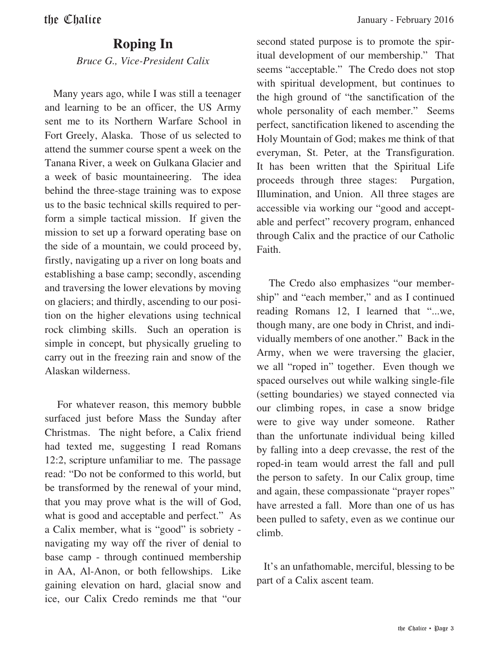# **Roping In**

*Bruce G., Vice-President Calix*

 Many years ago, while I was still a teenager and learning to be an officer, the US Army sent me to its Northern Warfare School in Fort Greely, Alaska. Those of us selected to attend the summer course spent a week on the Tanana River, a week on Gulkana Glacier and a week of basic mountaineering. The idea behind the three-stage training was to expose us to the basic technical skills required to perform a simple tactical mission. If given the mission to set up a forward operating base on the side of a mountain, we could proceed by, firstly, navigating up a river on long boats and establishing a base camp; secondly, ascending and traversing the lower elevations by moving on glaciers; and thirdly, ascending to our position on the higher elevations using technical rock climbing skills. Such an operation is simple in concept, but physically grueling to carry out in the freezing rain and snow of the Alaskan wilderness.

 For whatever reason, this memory bubble surfaced just before Mass the Sunday after Christmas. The night before, a Calix friend had texted me, suggesting I read Romans 12:2, scripture unfamiliar to me. The passage read: "Do not be conformed to this world, but be transformed by the renewal of your mind, that you may prove what is the will of God, what is good and acceptable and perfect." As a Calix member, what is "good" is sobriety navigating my way off the river of denial to base camp - through continued membership in AA, Al-Anon, or both fellowships. Like gaining elevation on hard, glacial snow and ice, our Calix Credo reminds me that "our

second stated purpose is to promote the spiritual development of our membership." That seems "acceptable." The Credo does not stop with spiritual development, but continues to the high ground of "the sanctification of the whole personality of each member." Seems perfect, sanctification likened to ascending the Holy Mountain of God; makes me think of that everyman, St. Peter, at the Transfiguration. It has been written that the Spiritual Life proceeds through three stages: Purgation, Illumination, and Union. All three stages are accessible via working our "good and acceptable and perfect" recovery program, enhanced through Calix and the practice of our Catholic Faith.

 The Credo also emphasizes "our membership" and "each member," and as I continued reading Romans 12, I learned that "...we, though many, are one body in Christ, and individually members of one another." Back in the Army, when we were traversing the glacier, we all "roped in" together. Even though we spaced ourselves out while walking single-file (setting boundaries) we stayed connected via our climbing ropes, in case a snow bridge were to give way under someone. Rather than the unfortunate individual being killed by falling into a deep crevasse, the rest of the roped-in team would arrest the fall and pull the person to safety. In our Calix group, time and again, these compassionate "prayer ropes" have arrested a fall. More than one of us has been pulled to safety, even as we continue our climb.

 It's an unfathomable, merciful, blessing to be part of a Calix ascent team.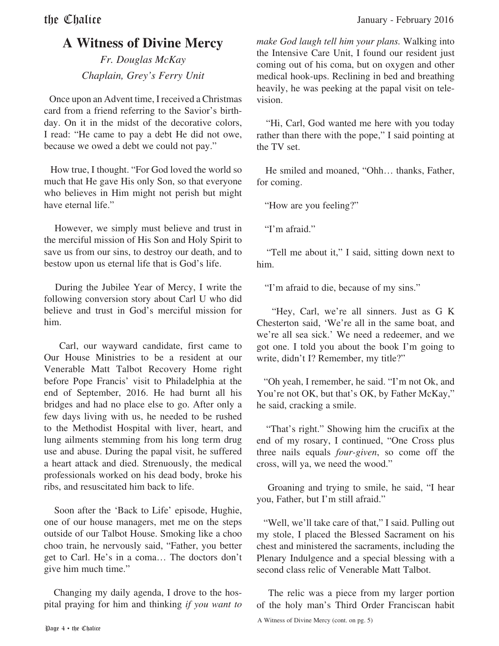# **A Witness of Divine Mercy**

*Fr. Douglas McKay Chaplain, Grey's Ferry Unit*

 Once upon an Advent time, I received a Christmas card from a friend referring to the Savior's birthday. On it in the midst of the decorative colors, I read: "He came to pay a debt He did not owe, because we owed a debt we could not pay."

 How true, I thought. "For God loved the world so much that He gave His only Son, so that everyone who believes in Him might not perish but might have eternal life."

 However, we simply must believe and trust in the merciful mission of His Son and Holy Spirit to save us from our sins, to destroy our death, and to bestow upon us eternal life that is God's life.

 During the Jubilee Year of Mercy, I write the following conversion story about Carl U who did believe and trust in God's merciful mission for him.

 Carl, our wayward candidate, first came to Our House Ministries to be a resident at our Venerable Matt Talbot Recovery Home right before Pope Francis' visit to Philadelphia at the end of September, 2016. He had burnt all his bridges and had no place else to go. After only a few days living with us, he needed to be rushed to the Methodist Hospital with liver, heart, and lung ailments stemming from his long term drug use and abuse. During the papal visit, he suffered a heart attack and died. Strenuously, the medical professionals worked on his dead body, broke his ribs, and resuscitated him back to life.

 Soon after the 'Back to Life' episode, Hughie, one of our house managers, met me on the steps outside of our Talbot House. Smoking like a choo choo train, he nervously said, "Father, you better get to Carl. He's in a coma… The doctors don't give him much time."

 Changing my daily agenda, I drove to the hospital praying for him and thinking *if you want to*  *make God laugh tell him your plans.* Walking into the Intensive Care Unit, I found our resident just coming out of his coma, but on oxygen and other medical hook-ups. Reclining in bed and breathing heavily, he was peeking at the papal visit on television.

 "Hi, Carl, God wanted me here with you today rather than there with the pope," I said pointing at the TV set.

 He smiled and moaned, "Ohh… thanks, Father, for coming.

"How are you feeling?"

"I'm afraid."

 "Tell me about it," I said, sitting down next to him.

"I'm afraid to die, because of my sins."

 "Hey, Carl, we're all sinners. Just as G K Chesterton said, 'We're all in the same boat, and we're all sea sick.' We need a redeemer, and we got one. I told you about the book I'm going to write, didn't I? Remember, my title?"

 "Oh yeah, I remember, he said. "I'm not Ok, and You're not OK, but that's OK, by Father McKay," he said, cracking a smile.

 "That's right." Showing him the crucifix at the end of my rosary, I continued, "One Cross plus three nails equals *four-given*, so come off the cross, will ya, we need the wood."

 Groaning and trying to smile, he said, "I hear you, Father, but I'm still afraid."

 "Well, we'll take care of that," I said. Pulling out my stole, I placed the Blessed Sacrament on his chest and ministered the sacraments, including the Plenary Indulgence and a special blessing with a second class relic of Venerable Matt Talbot.

 The relic was a piece from my larger portion of the holy man's Third Order Franciscan habit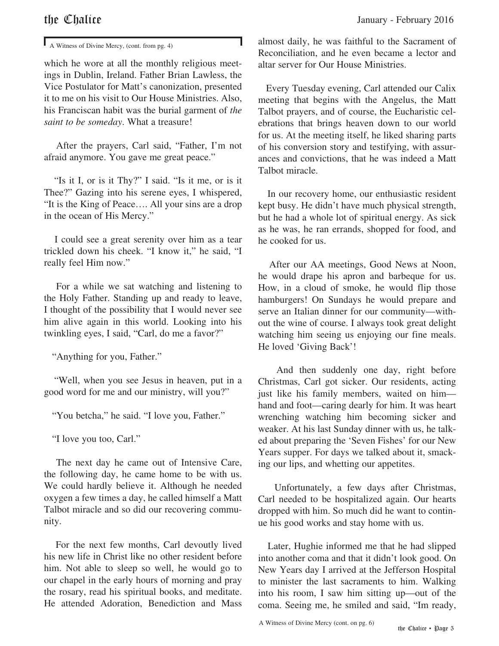A Witness of Divine Mercy, (cont. from pg. 4)

which he wore at all the monthly religious meetings in Dublin, Ireland. Father Brian Lawless, the Vice Postulator for Matt's canonization, presented it to me on his visit to Our House Ministries. Also, his Franciscan habit was the burial garment of *the saint to be someday*. What a treasure!

 After the prayers, Carl said, "Father, I'm not afraid anymore. You gave me great peace."

 "Is it I, or is it Thy?" I said. "Is it me, or is it Thee?" Gazing into his serene eyes, I whispered, "It is the King of Peace…. All your sins are a drop in the ocean of His Mercy."

 I could see a great serenity over him as a tear trickled down his cheek. "I know it," he said, "I really feel Him now."

 For a while we sat watching and listening to the Holy Father. Standing up and ready to leave, I thought of the possibility that I would never see him alive again in this world. Looking into his twinkling eyes, I said, "Carl, do me a favor?"

"Anything for you, Father."

 "Well, when you see Jesus in heaven, put in a good word for me and our ministry, will you?"

"You betcha," he said. "I love you, Father."

"I love you too, Carl."

 The next day he came out of Intensive Care, the following day, he came home to be with us. We could hardly believe it. Although he needed oxygen a few times a day, he called himself a Matt Talbot miracle and so did our recovering community.

 For the next few months, Carl devoutly lived his new life in Christ like no other resident before him. Not able to sleep so well, he would go to our chapel in the early hours of morning and pray the rosary, read his spiritual books, and meditate. He attended Adoration, Benediction and Mass almost daily, he was faithful to the Sacrament of Reconciliation, and he even became a lector and altar server for Our House Ministries.

 Every Tuesday evening, Carl attended our Calix meeting that begins with the Angelus, the Matt Talbot prayers, and of course, the Eucharistic celebrations that brings heaven down to our world for us. At the meeting itself, he liked sharing parts of his conversion story and testifying, with assurances and convictions, that he was indeed a Matt Talbot miracle.

 In our recovery home, our enthusiastic resident kept busy. He didn't have much physical strength, but he had a whole lot of spiritual energy. As sick as he was, he ran errands, shopped for food, and he cooked for us.

 After our AA meetings, Good News at Noon, he would drape his apron and barbeque for us. How, in a cloud of smoke, he would flip those hamburgers! On Sundays he would prepare and serve an Italian dinner for our community—without the wine of course. I always took great delight watching him seeing us enjoying our fine meals. He loved 'Giving Back'!

 And then suddenly one day, right before Christmas, Carl got sicker. Our residents, acting just like his family members, waited on him hand and foot—caring dearly for him. It was heart wrenching watching him becoming sicker and weaker. At his last Sunday dinner with us, he talked about preparing the 'Seven Fishes' for our New Years supper. For days we talked about it, smacking our lips, and whetting our appetites.

 Unfortunately, a few days after Christmas, Carl needed to be hospitalized again. Our hearts dropped with him. So much did he want to continue his good works and stay home with us.

 Later, Hughie informed me that he had slipped into another coma and that it didn't look good. On New Years day I arrived at the Jefferson Hospital to minister the last sacraments to him. Walking into his room, I saw him sitting up—out of the coma. Seeing me, he smiled and said, "Im ready,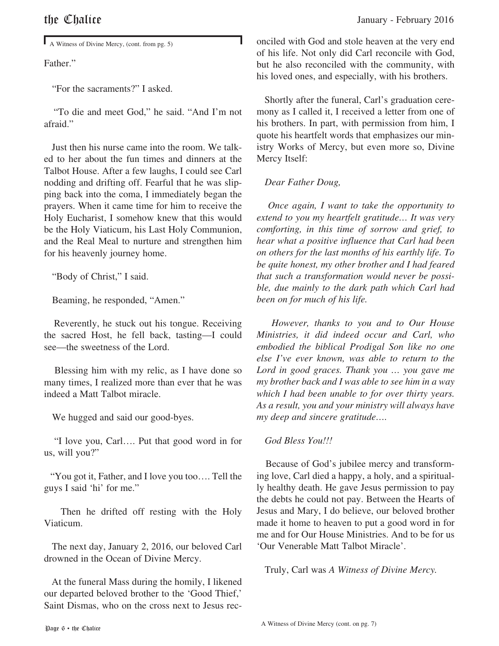A Witness of Divine Mercy, (cont. from pg. 5)

Father."

"For the sacraments?" I asked.

 "To die and meet God," he said. "And I'm not afraid."

 Just then his nurse came into the room. We talked to her about the fun times and dinners at the Talbot House. After a few laughs, I could see Carl nodding and drifting off. Fearful that he was slipping back into the coma, I immediately began the prayers. When it came time for him to receive the Holy Eucharist, I somehow knew that this would be the Holy Viaticum, his Last Holy Communion, and the Real Meal to nurture and strengthen him for his heavenly journey home.

"Body of Christ," I said.

Beaming, he responded, "Amen."

 Reverently, he stuck out his tongue. Receiving the sacred Host, he fell back, tasting—I could see—the sweetness of the Lord.

 Blessing him with my relic, as I have done so many times, I realized more than ever that he was indeed a Matt Talbot miracle.

We hugged and said our good-byes.

 "I love you, Carl…. Put that good word in for us, will you?"

 "You got it, Father, and I love you too…. Tell the guys I said 'hi' for me."

 Then he drifted off resting with the Holy Viaticum.

 The next day, January 2, 2016, our beloved Carl drowned in the Ocean of Divine Mercy.

 At the funeral Mass during the homily, I likened our departed beloved brother to the 'Good Thief,' Saint Dismas, who on the cross next to Jesus reconciled with God and stole heaven at the very end of his life. Not only did Carl reconcile with God, but he also reconciled with the community, with his loved ones, and especially, with his brothers.

 Shortly after the funeral, Carl's graduation ceremony as I called it, I received a letter from one of his brothers. In part, with permission from him, I quote his heartfelt words that emphasizes our ministry Works of Mercy, but even more so, Divine Mercy Itself:

### *Dear Father Doug,*

 *Once again, I want to take the opportunity to extend to you my heartfelt gratitude… It was very comforting, in this time of sorrow and grief, to hear what a positive influence that Carl had been on others for the last months of his earthly life. To be quite honest, my other brother and I had feared that such a transformation would never be possible, due mainly to the dark path which Carl had been on for much of his life.*

 *However, thanks to you and to Our House Ministries, it did indeed occur and Carl, who embodied the biblical Prodigal Son like no one else I've ever known, was able to return to the Lord in good graces. Thank you … you gave me my brother back and I was able to see him in a way which I had been unable to for over thirty years. As a result, you and your ministry will always have my deep and sincere gratitude….* 

### *God Bless You!!!*

 Because of God's jubilee mercy and transforming love, Carl died a happy, a holy, and a spiritually healthy death. He gave Jesus permission to pay the debts he could not pay. Between the Hearts of Jesus and Mary, I do believe, our beloved brother made it home to heaven to put a good word in for me and for Our House Ministries. And to be for us 'Our Venerable Matt Talbot Miracle'.

Truly, Carl was *A Witness of Divine Mercy.*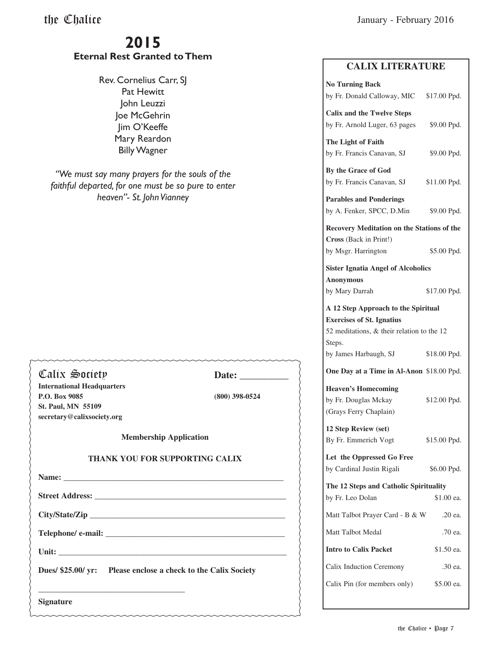# **2015 Eternal Rest Granted to Them**

Rev. Cornelius Carr, SJ Pat Hewitt John Leuzzi Joe McGehrin Jim O'Keeffe Mary Reardon Billy Wagner

*"We must say many prayers for the souls of the faithful departed, for one must be so pure to enter heaven"- St. John Vianney*

| Calix Society                         | Date: $\frac{1}{\sqrt{1-\frac{1}{2}} \cdot \frac{1}{2}}$       |  |
|---------------------------------------|----------------------------------------------------------------|--|
| <b>International Headquarters</b>     |                                                                |  |
| P.O. Box 9085                         | $(800)$ 398-0524                                               |  |
| <b>St. Paul, MN 55109</b>             |                                                                |  |
| secretary@calixsociety.org            |                                                                |  |
| <b>Membership Application</b>         |                                                                |  |
| <b>THANK YOU FOR SUPPORTING CALIX</b> |                                                                |  |
|                                       |                                                                |  |
|                                       |                                                                |  |
|                                       |                                                                |  |
|                                       |                                                                |  |
|                                       |                                                                |  |
|                                       | Dues/ \$25.00/ yr: Please enclose a check to the Calix Society |  |
| <b>Signature</b>                      |                                                                |  |

## **CALIX LITERATURE**

| <b>No Turning Back</b><br>by Fr. Donald Calloway, MIC \$17.00 Ppd.                                                                                       |              |  |
|----------------------------------------------------------------------------------------------------------------------------------------------------------|--------------|--|
| <b>Calix and the Twelve Steps</b><br>by Fr. Arnold Luger, 63 pages                                                                                       | \$9.00 Ppd.  |  |
| The Light of Faith<br>by Fr. Francis Canavan, SJ                                                                                                         | \$9.00 Ppd.  |  |
| By the Grace of God<br>by Fr. Francis Canavan, SJ                                                                                                        | \$11.00 Ppd. |  |
| <b>Parables and Ponderings</b><br>by A. Fenker, SPCC, D.Min                                                                                              | \$9.00 Ppd.  |  |
| <b>Recovery Meditation on the Stations of the</b><br>Cross (Back in Print!)                                                                              |              |  |
| by Msgr. Harrington                                                                                                                                      | \$5.00 Ppd.  |  |
| <b>Sister Ignatia Angel of Alcoholics</b><br><b>Anonymous</b>                                                                                            |              |  |
| by Mary Darrah                                                                                                                                           | \$17.00 Ppd. |  |
| A 12 Step Approach to the Spiritual<br><b>Exercises of St. Ignatius</b><br>52 meditations, & their relation to the 12<br>Steps.<br>by James Harbaugh, SJ | \$18.00 Ppd. |  |
|                                                                                                                                                          |              |  |
| One Day at a Time in Al-Anon \$18.00 Ppd.                                                                                                                |              |  |
| <b>Heaven's Homecoming</b><br>by Fr. Douglas Mckay<br>(Grays Ferry Chaplain)                                                                             | \$12.00 Ppd. |  |
| 12 Step Review (set)<br>By Fr. Emmerich Vogt                                                                                                             | \$15.00 Ppd. |  |
| Let the Oppressed Go Free<br>by Cardinal Justin Rigali                                                                                                   | \$6.00 Ppd.  |  |
| The 12 Steps and Catholic Spirituality<br>by Fr. Leo Dolan                                                                                               | \$1.00 ea.   |  |
| Matt Talbot Prayer Card - B & W                                                                                                                          | .20 ea.      |  |
| Matt Talbot Medal                                                                                                                                        | .70 ea.      |  |
| <b>Intro to Calix Packet</b>                                                                                                                             | \$1.50 ea.   |  |
| Calix Induction Ceremony                                                                                                                                 | .30 ea.      |  |
| Calix Pin (for members only)                                                                                                                             | \$5.00 ea.   |  |